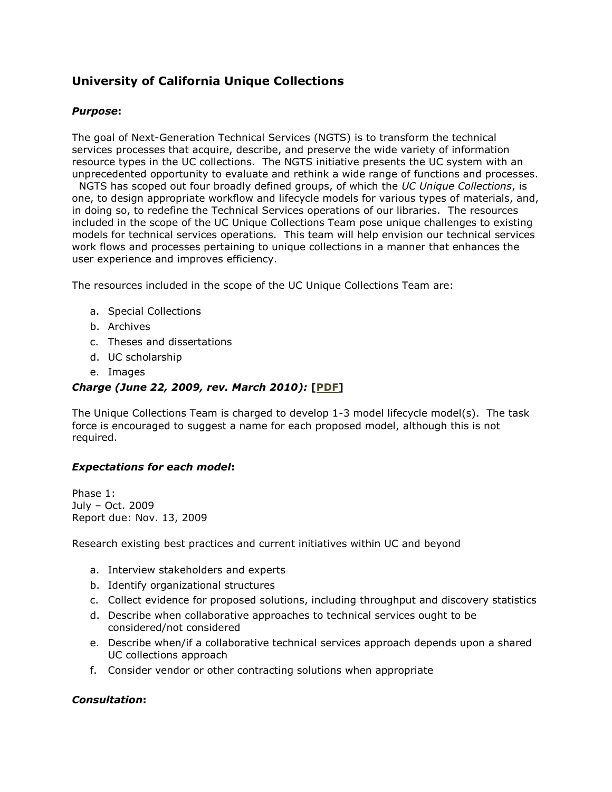# **University of California Unique Collections**

## *Purpose***:**

The goal of Next-Generation Technical Services (NGTS) is to transform the technical services processes that acquire, describe, and preserve the wide variety of information resource types in the UC collections. The NGTS initiative presents the UC system with an unprecedented opportunity to evaluate and rethink a wide range of functions and processes.

NGTS has scoped out four broadly defined groups, of which the *UC Unique Collections*, is one, to design appropriate workflow and lifecycle models for various types of materials, and, in doing so, to redefine the Technical Services operations of our libraries. The resources included in the scope of the UC Unique Collections Team pose unique challenges to existing models for technical services operations. This team will help envision our technical services work flows and processes pertaining to unique collections in a manner that enhances the user experience and improves efficiency.

The resources included in the scope of the UC Unique Collections Team are:

- a. Special Collections
- b. Archives
- c. Theses and dissertations
- d. UC scholarship
- e. Images

## *Charge (June 22, 2009, rev. March 2010):* **[\[PDF\]](http://libraries.universityofcalifornia.edu/about/uls/ngts/docs/charge_unique.pdf)**

The Unique Collections Team is charged to develop 1-3 model lifecycle model(s). The task force is encouraged to suggest a name for each proposed model, although this is not required.

#### *Expectations for each model***:**

Phase 1: July – Oct. 2009 Report due: Nov. 13, 2009

Research existing best practices and current initiatives within UC and beyond

- a. Interview stakeholders and experts
- b. Identify organizational structures
- c. Collect evidence for proposed solutions, including throughput and discovery statistics
- d. Describe when collaborative approaches to technical services ought to be considered/not considered
- e. Describe when/if a collaborative technical services approach depends upon a shared UC collections approach
- f. Consider vendor or other contracting solutions when appropriate

#### *Consultation***:**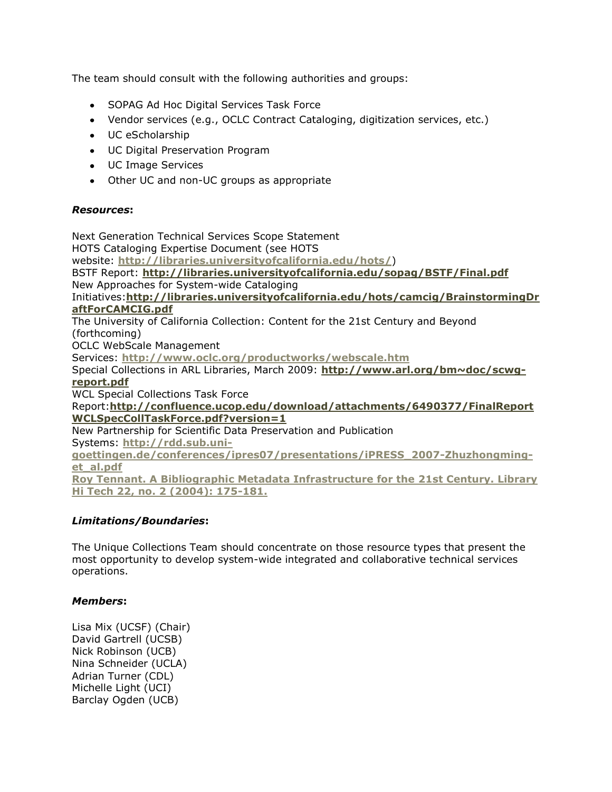The team should consult with the following authorities and groups:

- SOPAG Ad Hoc Digital Services Task Force
- Vendor services (e.g., OCLC Contract Cataloging, digitization services, etc.)
- UC eScholarship
- UC Digital Preservation Program
- UC Image Services
- Other UC and non-UC groups as appropriate

## *Resources***:**

Next Generation Technical Services Scope Statement HOTS Cataloging Expertise Document (see HOTS website: **<http://libraries.universityofcalifornia.edu/hots/>**) BSTF Report: **<http://libraries.universityofcalifornia.edu/sopag/BSTF/Final.pdf>** New Approaches for System-wide Cataloging Initiatives:**[http://libraries.universityofcalifornia.edu/hots/camcig/BrainstormingDr](http://libraries.universityofcalifornia.edu/hots/camcig/BrainstormingDraftForCAMCIG.pdf) [aftForCAMCIG.pdf](http://libraries.universityofcalifornia.edu/hots/camcig/BrainstormingDraftForCAMCIG.pdf)** The University of California Collection: Content for the 21st Century and Beyond (forthcoming) OCLC WebScale Management Services: **<http://www.oclc.org/productworks/webscale.htm>** Special Collections in ARL Libraries, March 2009: **[http://www.arl.org/bm~doc/scwg](http://www.arl.org/bm~doc/scwg-report.pdf)[report.pdf](http://www.arl.org/bm~doc/scwg-report.pdf)** WCL Special Collections Task Force Report:**[http://confluence.ucop.edu/download/attachments/6490377/FinalReport](http://confluence.ucop.edu/download/attachments/6490377/FinalReportWCLSpecCollTaskForce.pdf?version=1) [WCLSpecCollTaskForce.pdf?version=1](http://confluence.ucop.edu/download/attachments/6490377/FinalReportWCLSpecCollTaskForce.pdf?version=1)** New Partnership for Scientific Data Preservation and Publication Systems: **[http://rdd.sub.uni](http://rdd.sub.uni-goettingen.de/conferences/ipres07/presentations/iPRESS_2007-Zhuzhongming-et_al.pdf)[goettingen.de/conferences/ipres07/presentations/iPRESS\\_2007-Zhuzhongming](http://rdd.sub.uni-goettingen.de/conferences/ipres07/presentations/iPRESS_2007-Zhuzhongming-et_al.pdf)[et\\_al.pdf](http://rdd.sub.uni-goettingen.de/conferences/ipres07/presentations/iPRESS_2007-Zhuzhongming-et_al.pdf) [Roy Tennant. A Bibliographic Metadata Infrastructure for the 21st Century. Library](http://roytennant.com/metadata.pdf)  [Hi Tech 22, no. 2 \(2004\): 175-181.](http://roytennant.com/metadata.pdf)**

# *Limitations/Boundaries***:**

The Unique Collections Team should concentrate on those resource types that present the most opportunity to develop system-wide integrated and collaborative technical services operations.

# *Members***:**

Lisa Mix (UCSF) (Chair) David Gartrell (UCSB) Nick Robinson (UCB) Nina Schneider (UCLA) Adrian Turner (CDL) Michelle Light (UCI) Barclay Ogden (UCB)